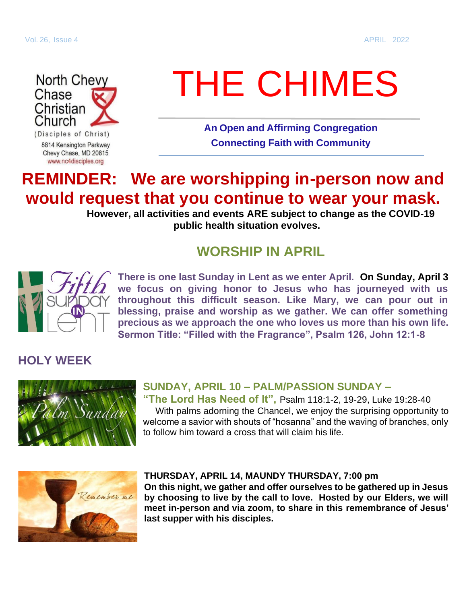

(Disciples of Christ) 8814 Kensington Parkway Chevy Chase, MD 20815 www.nc4disciples.org

# THE CHIMES

**An Open and Affirming Congregation Connecting Faith with Community**

## **REMINDER: We are worshipping in-person now and would request that you continue to wear your mask.**

**However, all activities and events ARE subject to change as the COVID-19 public health situation evolves.**

### **WORSHIP IN APRIL**



**There is one last Sunday in Lent as we enter April. On Sunday, April 3 we focus on giving honor to Jesus who has journeyed with us throughout this difficult season. Like Mary, we can pour out in blessing, praise and worship as we gather. We can offer something precious as we approach the one who loves us more than his own life. Sermon Title: "Filled with the Fragrance", Psalm 126, John 12:1-8**

#### **HOLY WEEK**



#### **SUNDAY, APRIL 10 – PALM/PASSION SUNDAY –**

**"The Lord Has Need of It",** Psalm 118:1-2, 19-29, Luke 19:28-40 With palms adorning the Chancel, we enjoy the surprising opportunity to welcome a savior with shouts of "hosanna" and the waving of branches, only to follow him toward a cross that will claim his life.



#### **THURSDAY, APRIL 14, MAUNDY THURSDAY, 7:00 pm**

**On this night, we gather and offer ourselves to be gathered up in Jesus by choosing to live by the call to love. Hosted by our Elders, we will meet in-person and via zoom, to share in this remembrance of Jesus' last supper with his disciples.**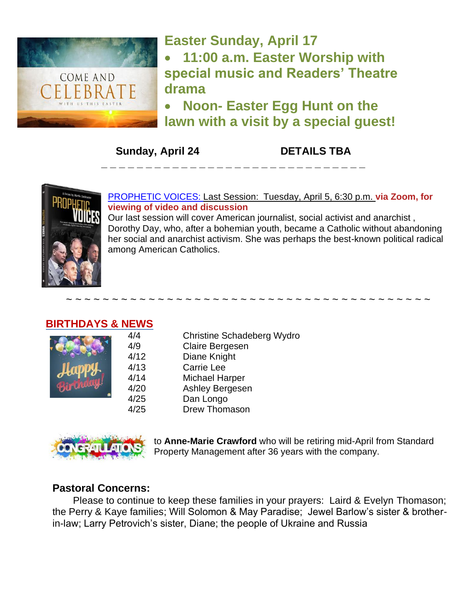

# **Easter Sunday, April 17** • **11:00 a.m. Easter Worship with**

**special music and Readers' Theatre drama**

• **Noon- Easter Egg Hunt on the lawn with a visit by a special guest!** 

**Sunday, April 24 DETAILS TBA**



[PROPHETIC VOICES:](https://nc4disciples.us2.list-manage.com/track/click?u=6288ec387c19e05b3db8cdc15&id=f9bce5587e&e=d821ba81a6) Last Session: Tuesday, April 5, 6:30 p.m. **via Zoom, for viewing of video and discussion**

**\_ \_ \_ \_ \_ \_ \_ \_ \_ \_ \_ \_ \_ \_ \_ \_ \_ \_ \_ \_ \_ \_ \_ \_ \_ \_ \_ \_ \_ \_**

Our last session will cover American journalist, social activist and anarchist , Dorothy Day, who, after a bohemian youth, became a Catholic without abandoning her social and anarchist activism. She was perhaps the best-known political radical among American Catholics.

#### **BIRTHDAYS & NEWS**



4/4 Christine Schadeberg Wydro 4/9 Claire Bergesen 4/12 Diane Knight 4/13 Carrie Lee 4/14 Michael Harper 4/20 Ashley Bergesen 4/25 Dan Longo 4/25 Drew Thomason

~ ~ ~ ~ ~ ~ ~ ~ ~ ~ ~ ~ ~ ~ ~ ~ ~ ~ ~ ~ ~ ~ ~ ~ ~ ~ ~ ~ ~ ~ ~ ~ ~ ~ ~ ~ ~ ~ ~ ~



to **Anne-Marie Crawford** who will be retiring mid-April from Standard Property Management after 36 years with the company.

#### **Pastoral Concerns:**

Please to continue to keep these families in your prayers: Laird & Evelyn Thomason; the Perry & Kaye families; Will Solomon & May Paradise; Jewel Barlow's sister & brotherin-law; Larry Petrovich's sister, Diane; the people of Ukraine and Russia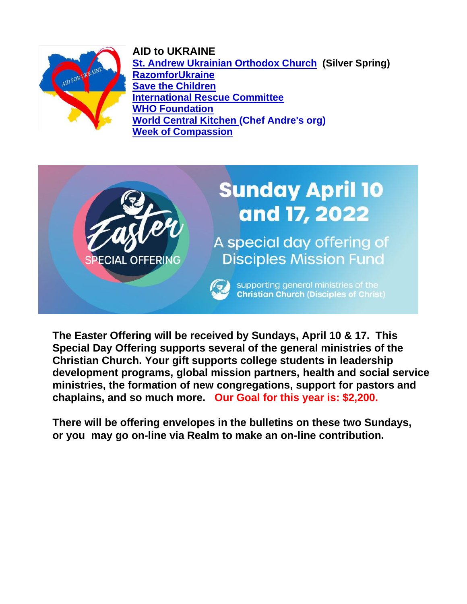



**[St. Andrew Ukrainian Orthodox Church](https://www.standrewuoc.org/) (Silver Spring) [RazomforUkraine](https://razomforukraine.org/) [Save the Children](https://support.savethechildren.org/site/Donation2?df_id=5751&mfc_pref=T&5751.donation=form1) [International Rescue Committee](https://donate.wck.org/give/393234#!/donation/checkout) [WHO Foundation](https://donate.wck.org/give/393234#!/donation/checkout) [World Central Kitchen](https://donate.wck.org/give/393234#!/donation/checkout) (Chef Andre's org) [Week of Compassion](https://www.weekofcompassion.org/stories/category/ukraine)**



**The Easter Offering will be received by Sundays, April 10 & 17. This Special Day Offering supports several of the general ministries of the Christian Church. Your gift supports college students in leadership development programs, global mission partners, health and social service ministries, the formation of new congregations, support for pastors and chaplains, and so much more. Our Goal for this year is: \$2,200.**

**There will be offering envelopes in the bulletins on these two Sundays, or you may go on-line via Realm to make an on-line contribution.**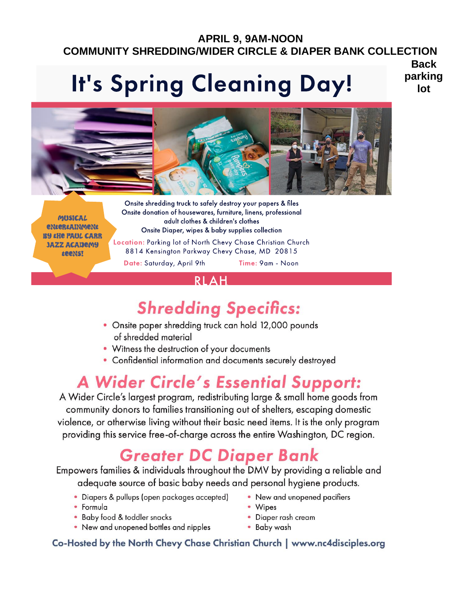### **APRIL 9, 9AM-NOON COMMUNITY SHREDDING/WIDER CIRCLE & DIAPER BANK COLLECTION**

# **It's Spring Cleaning Day!**

**Back** parking lot



**MUSICAL** entertainment **BY the PAUL CARR JAZZ ACADEMY teens!** 

Onsite shredding truck to safely destroy your papers & files Onsite donation of housewares, furniture, linens, professional adult clothes & children's clothes Onsite Diaper, wipes & baby supplies collection Location: Parking lot of North Chevy Chase Christian Church 8814 Kensington Parkway Chevy Chase, MD 20815 Date: Saturday, April 9th Time: 9am - Noon

#### R I A H

# **Shredding Specifics:**

- Onsite paper shredding truck can hold 12,000 pounds of shredded material
- Witness the destruction of your documents
- Confidential information and documents securely destroyed

# **A Wider Circle's Essential Support:**

A Wider Circle's largest program, redistributing large & small home goods from community donors to families transitioning out of shelters, escaping domestic violence, or otherwise living without their basic need items. It is the only program providing this service free-of-charge across the entire Washington, DC region.

# **Greater DC Diaper Bank**

Empowers families & individuals throughout the DMV by providing a reliable and adequate source of basic baby needs and personal hygiene products.

- Diapers & pullups (open packages accepted)
- Formula
- Baby food & toddler snacks
- New and unopened bottles and nipples
- New and unopened pacifiers
- Wipes
- Diaper rash cream
- Baby wash

#### Co-Hosted by the North Chevy Chase Christian Church | www.nc4disciples.org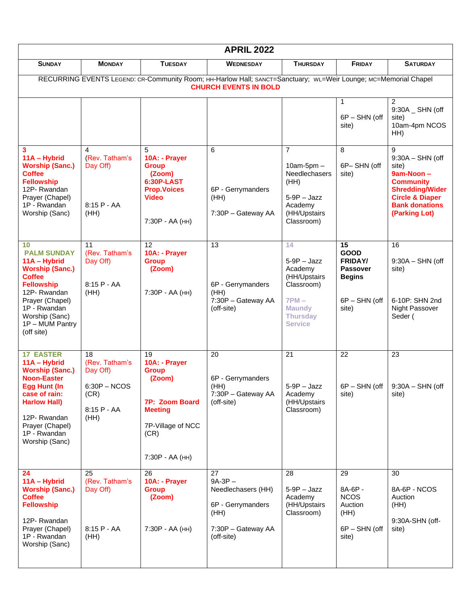| <b>APRIL 2022</b>                                                                                                                                                                                                   |                                                                                     |                                                                                                                                   |                                                                                                       |                                                                                                                               |                                                                                                   |                                                                                                                                                                      |
|---------------------------------------------------------------------------------------------------------------------------------------------------------------------------------------------------------------------|-------------------------------------------------------------------------------------|-----------------------------------------------------------------------------------------------------------------------------------|-------------------------------------------------------------------------------------------------------|-------------------------------------------------------------------------------------------------------------------------------|---------------------------------------------------------------------------------------------------|----------------------------------------------------------------------------------------------------------------------------------------------------------------------|
| <b>SUNDAY</b>                                                                                                                                                                                                       | <b>MONDAY</b>                                                                       | <b>TUESDAY</b>                                                                                                                    | <b>WEDNESDAY</b>                                                                                      | <b>THURSDAY</b>                                                                                                               | <b>FRIDAY</b>                                                                                     | <b>SATURDAY</b>                                                                                                                                                      |
| RECURRING EVENTS LEGEND: CR-Community Room; HH-Harlow Hall; SANCT=Sanctuary; WL=Weir Lounge; MC=Memorial Chapel<br><b>CHURCH EVENTS IN BOLD</b>                                                                     |                                                                                     |                                                                                                                                   |                                                                                                       |                                                                                                                               |                                                                                                   |                                                                                                                                                                      |
|                                                                                                                                                                                                                     |                                                                                     |                                                                                                                                   |                                                                                                       |                                                                                                                               | 1<br>6P - SHN (off<br>site)                                                                       | $\overline{2}$<br>9:30A _ SHN (off<br>site)<br>10am-4pm NCOS<br>HH)                                                                                                  |
| 3<br>11A - Hybrid<br><b>Worship (Sanc.)</b><br><b>Coffee</b><br><b>Fellowship</b><br>12P-Rwandan<br>Prayer (Chapel)<br>1P - Rwandan<br>Worship (Sanc)                                                               | 4<br>(Rev. Tatham's<br>Day Off)<br>$8:15 P - AA$<br>(HH)                            | 5<br>10A: - Prayer<br><b>Group</b><br>(Zoom)<br>6:30P-LAST<br><b>Prop.Voices</b><br><b>Video</b><br>7:30P - AA (HH)               | 6<br>6P - Gerrymanders<br>(HH)<br>7:30P - Gateway AA                                                  | $\overline{7}$<br>$10am-5pm -$<br>Needlechasers<br>(HH)<br>$5-9P -$ Jazz<br>Academy<br>(HH/Upstairs<br>Classroom)             | 8<br>6P-SHN (off<br>site)                                                                         | 9<br>$9:30A - SHN$ (off<br>site)<br>9am-Noon -<br><b>Community</b><br><b>Shredding/Wider</b><br><b>Circle &amp; Diaper</b><br><b>Bank donations</b><br>(Parking Lot) |
| 10<br><b>PALM SUNDAY</b><br>11A - Hybrid<br><b>Worship (Sanc.)</b><br><b>Coffee</b><br><b>Fellowship</b><br>12P-Rwandan<br>Prayer (Chapel)<br>1P - Rwandan<br>Worship (Sanc)<br>1P - MUM Pantry<br>(off site)       | 11<br>(Rev. Tatham's<br>Day Off)<br>8:15 P - AA<br>(HH)                             | 12<br>10A: - Prayer<br><b>Group</b><br>(Zoom)<br>7:30P - AA (HH)                                                                  | 13<br>6P - Gerrymanders<br>(HH)<br>7:30P - Gateway AA<br>(off-site)                                   | 14<br>$5-9P -$ Jazz<br>Academy<br>(HH/Upstairs<br>Classroom)<br>$7PM -$<br><b>Maundy</b><br><b>Thursday</b><br><b>Service</b> | 15<br><b>GOOD</b><br><b>FRIDAY/</b><br><b>Passover</b><br><b>Begins</b><br>6P - SHN (off<br>site) | 16<br>$9:30A - SHN$ (off<br>site)<br>6-10P: SHN 2nd<br>Night Passover<br>Seder (                                                                                     |
| <b>17 EASTER</b><br>11A - Hybrid<br><b>Worship (Sanc.)</b><br><b>Noon-Easter</b><br><b>Egg Hunt (In</b><br>case of rain:<br><b>Harlow Hall)</b><br>12P-Rwandan<br>Prayer (Chapel)<br>1P - Rwandan<br>Worship (Sanc) | 18<br>(Rev. Tatham's<br>Day Off)<br>$6:30P - NCOS$<br>(CR)<br>$8:15 P - AA$<br>(HH) | 19<br>10A: - Prayer<br><b>Group</b><br>(Zoom)<br>7P: Zoom Board<br><b>Meeting</b><br>7P-Village of NCC<br>(CR)<br>7:30P - AA (HH) | 20<br>6P - Gerrymanders<br>(HH)<br>7:30P - Gateway AA<br>(off-site)                                   | 21<br>$5-9P -$ Jazz<br>Academy<br>(HH/Upstairs<br>Classroom)                                                                  | 22<br>6P - SHN (off<br>site)                                                                      | 23<br>$9:30A - SHN$ (off<br>site)                                                                                                                                    |
| 24<br>11A - Hybrid<br><b>Worship (Sanc.)</b><br><b>Coffee</b><br><b>Fellowship</b><br>12P-Rwandan<br>Prayer (Chapel)<br>1P - Rwandan<br>Worship (Sanc)                                                              | 25<br>(Rev. Tatham's<br>Day Off)<br>$8:15 P - AA$<br>(HH)                           | 26<br>10A: - Prayer<br><b>Group</b><br>(Zoom)<br>7:30P - AA (HH)                                                                  | 27<br>$9A-3P-$<br>Needlechasers (HH)<br>6P - Gerrymanders<br>(HH)<br>7:30P - Gateway AA<br>(off-site) | 28<br>$5-9P -$ Jazz<br>Academy<br>(HH/Upstairs<br>Classroom)                                                                  | 29<br>8A-6P -<br><b>NCOS</b><br>Auction<br>(HH)<br>6P - SHN (off<br>site)                         | 30<br>8A-6P - NCOS<br>Auction<br>(HH)<br>9:30A-SHN (off-<br>site)                                                                                                    |